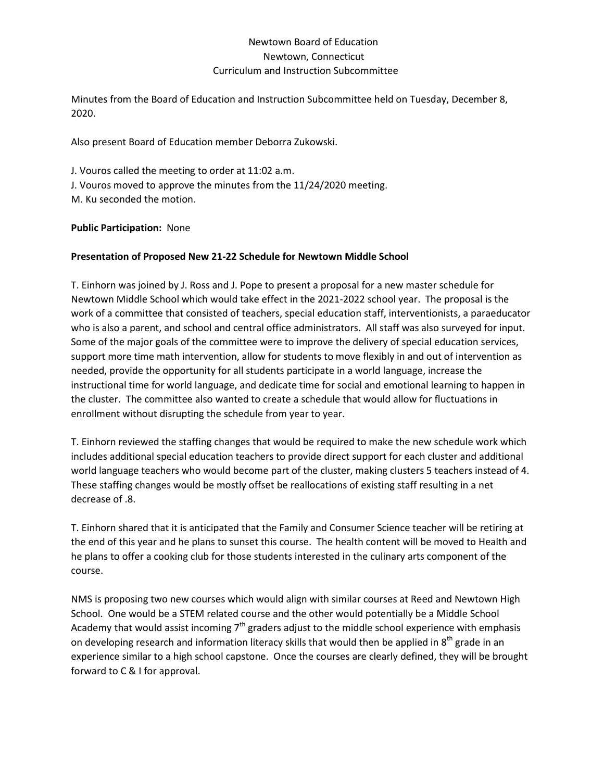## Newtown Board of Education Newtown, Connecticut Curriculum and Instruction Subcommittee

Minutes from the Board of Education and Instruction Subcommittee held on Tuesday, December 8, 2020.

Also present Board of Education member Deborra Zukowski.

J. Vouros called the meeting to order at 11:02 a.m. J. Vouros moved to approve the minutes from the 11/24/2020 meeting. M. Ku seconded the motion.

## **Public Participation:** None

## **Presentation of Proposed New 21-22 Schedule for Newtown Middle School**

T. Einhorn was joined by J. Ross and J. Pope to present a proposal for a new master schedule for Newtown Middle School which would take effect in the 2021-2022 school year. The proposal is the work of a committee that consisted of teachers, special education staff, interventionists, a paraeducator who is also a parent, and school and central office administrators. All staff was also surveyed for input. Some of the major goals of the committee were to improve the delivery of special education services, support more time math intervention, allow for students to move flexibly in and out of intervention as needed, provide the opportunity for all students participate in a world language, increase the instructional time for world language, and dedicate time for social and emotional learning to happen in the cluster. The committee also wanted to create a schedule that would allow for fluctuations in enrollment without disrupting the schedule from year to year.

T. Einhorn reviewed the staffing changes that would be required to make the new schedule work which includes additional special education teachers to provide direct support for each cluster and additional world language teachers who would become part of the cluster, making clusters 5 teachers instead of 4. These staffing changes would be mostly offset be reallocations of existing staff resulting in a net decrease of .8.

T. Einhorn shared that it is anticipated that the Family and Consumer Science teacher will be retiring at the end of this year and he plans to sunset this course. The health content will be moved to Health and he plans to offer a cooking club for those students interested in the culinary arts component of the course.

NMS is proposing two new courses which would align with similar courses at Reed and Newtown High School. One would be a STEM related course and the other would potentially be a Middle School Academy that would assist incoming  $7<sup>th</sup>$  graders adjust to the middle school experience with emphasis on developing research and information literacy skills that would then be applied in  $8<sup>th</sup>$  grade in an experience similar to a high school capstone. Once the courses are clearly defined, they will be brought forward to C & I for approval.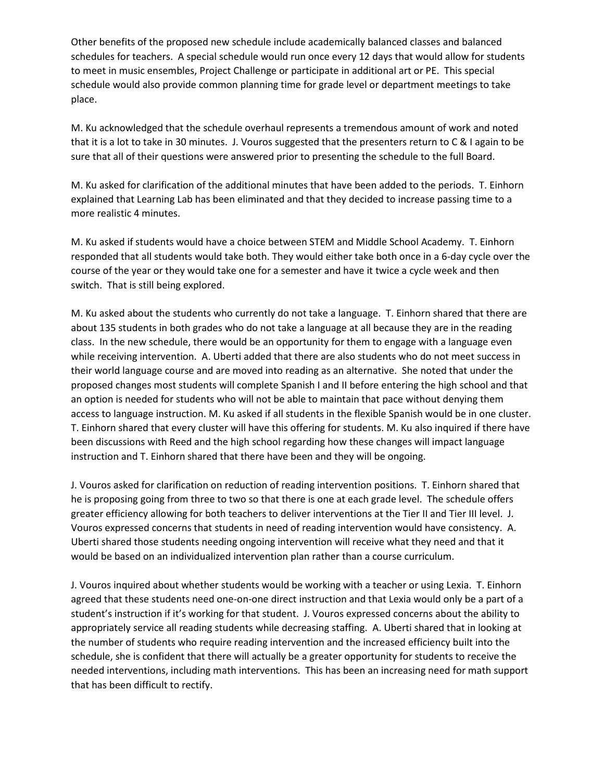Other benefits of the proposed new schedule include academically balanced classes and balanced schedules for teachers. A special schedule would run once every 12 days that would allow for students to meet in music ensembles, Project Challenge or participate in additional art or PE. This special schedule would also provide common planning time for grade level or department meetings to take place.

M. Ku acknowledged that the schedule overhaul represents a tremendous amount of work and noted that it is a lot to take in 30 minutes. J. Vouros suggested that the presenters return to C & I again to be sure that all of their questions were answered prior to presenting the schedule to the full Board.

M. Ku asked for clarification of the additional minutes that have been added to the periods. T. Einhorn explained that Learning Lab has been eliminated and that they decided to increase passing time to a more realistic 4 minutes.

M. Ku asked if students would have a choice between STEM and Middle School Academy. T. Einhorn responded that all students would take both. They would either take both once in a 6-day cycle over the course of the year or they would take one for a semester and have it twice a cycle week and then switch. That is still being explored.

M. Ku asked about the students who currently do not take a language. T. Einhorn shared that there are about 135 students in both grades who do not take a language at all because they are in the reading class. In the new schedule, there would be an opportunity for them to engage with a language even while receiving intervention. A. Uberti added that there are also students who do not meet success in their world language course and are moved into reading as an alternative. She noted that under the proposed changes most students will complete Spanish I and II before entering the high school and that an option is needed for students who will not be able to maintain that pace without denying them access to language instruction. M. Ku asked if all students in the flexible Spanish would be in one cluster. T. Einhorn shared that every cluster will have this offering for students. M. Ku also inquired if there have been discussions with Reed and the high school regarding how these changes will impact language instruction and T. Einhorn shared that there have been and they will be ongoing.

J. Vouros asked for clarification on reduction of reading intervention positions. T. Einhorn shared that he is proposing going from three to two so that there is one at each grade level. The schedule offers greater efficiency allowing for both teachers to deliver interventions at the Tier II and Tier III level. J. Vouros expressed concerns that students in need of reading intervention would have consistency. A. Uberti shared those students needing ongoing intervention will receive what they need and that it would be based on an individualized intervention plan rather than a course curriculum.

J. Vouros inquired about whether students would be working with a teacher or using Lexia. T. Einhorn agreed that these students need one-on-one direct instruction and that Lexia would only be a part of a student's instruction if it's working for that student. J. Vouros expressed concerns about the ability to appropriately service all reading students while decreasing staffing. A. Uberti shared that in looking at the number of students who require reading intervention and the increased efficiency built into the schedule, she is confident that there will actually be a greater opportunity for students to receive the needed interventions, including math interventions. This has been an increasing need for math support that has been difficult to rectify.